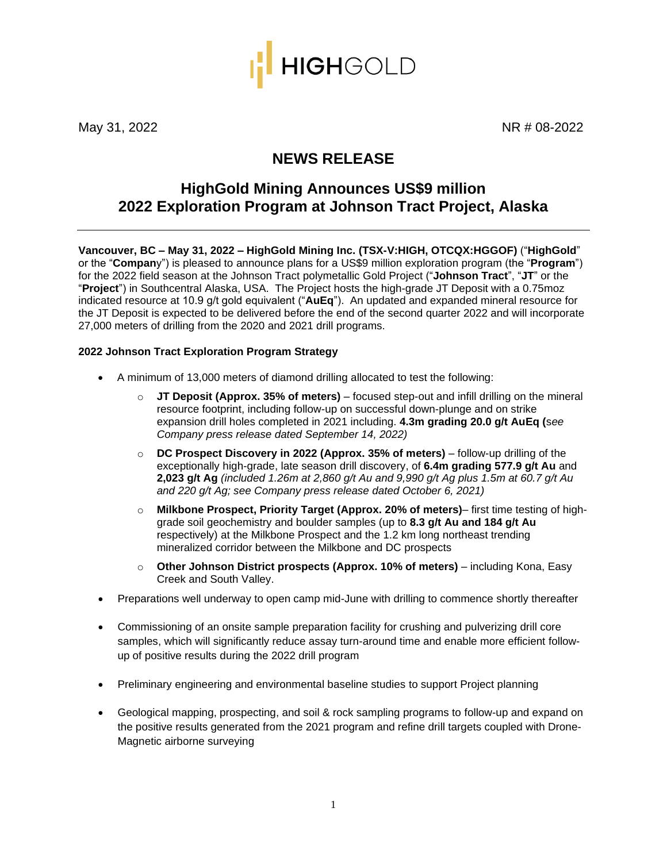

May 31, 2022 **NR # 08-2022** 

# **NEWS RELEASE**

# **HighGold Mining Announces US\$9 million 2022 Exploration Program at Johnson Tract Project, Alaska**

**Vancouver, BC – May 31, 2022 – HighGold Mining Inc. (TSX-V:HIGH, OTCQX:HGGOF)** ("**HighGold**" or the "**Compan**y") is pleased to announce plans for a US\$9 million exploration program (the "**Program**") for the 2022 field season at the Johnson Tract polymetallic Gold Project ("**Johnson Tract**", "**JT**" or the "**Project**") in Southcentral Alaska, USA. The Project hosts the high-grade JT Deposit with a 0.75moz indicated resource at 10.9 g/t gold equivalent ("**AuEq**"). An updated and expanded mineral resource for the JT Deposit is expected to be delivered before the end of the second quarter 2022 and will incorporate 27,000 meters of drilling from the 2020 and 2021 drill programs.

### **2022 Johnson Tract Exploration Program Strategy**

- A minimum of 13,000 meters of diamond drilling allocated to test the following:
	- o **JT Deposit (Approx. 35% of meters)** focused step-out and infill drilling on the mineral resource footprint, including follow-up on successful down-plunge and on strike expansion drill holes completed in 2021 including. **4.3m grading 20.0 g/t AuEq (**s*ee Company press release dated September 14, 2022)*
	- o **DC Prospect Discovery in 2022 (Approx. 35% of meters)** follow-up drilling of the exceptionally high-grade, late season drill discovery, of **6.4m grading 577.9 g/t Au** and **2,023 g/t Ag** *(included 1.26m at 2,860 g/t Au and 9,990 g/t Ag plus 1.5m at 60.7 g/t Au and 220 g/t Ag; see Company press release dated October 6, 2021)*
	- o **Milkbone Prospect, Priority Target (Approx. 20% of meters)** first time testing of highgrade soil geochemistry and boulder samples (up to **8.3 g/t Au and 184 g/t Au**  respectively) at the Milkbone Prospect and the 1.2 km long northeast trending mineralized corridor between the Milkbone and DC prospects
	- o **Other Johnson District prospects (Approx. 10% of meters)** including Kona, Easy Creek and South Valley.
- Preparations well underway to open camp mid-June with drilling to commence shortly thereafter
- Commissioning of an onsite sample preparation facility for crushing and pulverizing drill core samples, which will significantly reduce assay turn-around time and enable more efficient followup of positive results during the 2022 drill program
- Preliminary engineering and environmental baseline studies to support Project planning
- Geological mapping, prospecting, and soil & rock sampling programs to follow-up and expand on the positive results generated from the 2021 program and refine drill targets coupled with Drone-Magnetic airborne surveying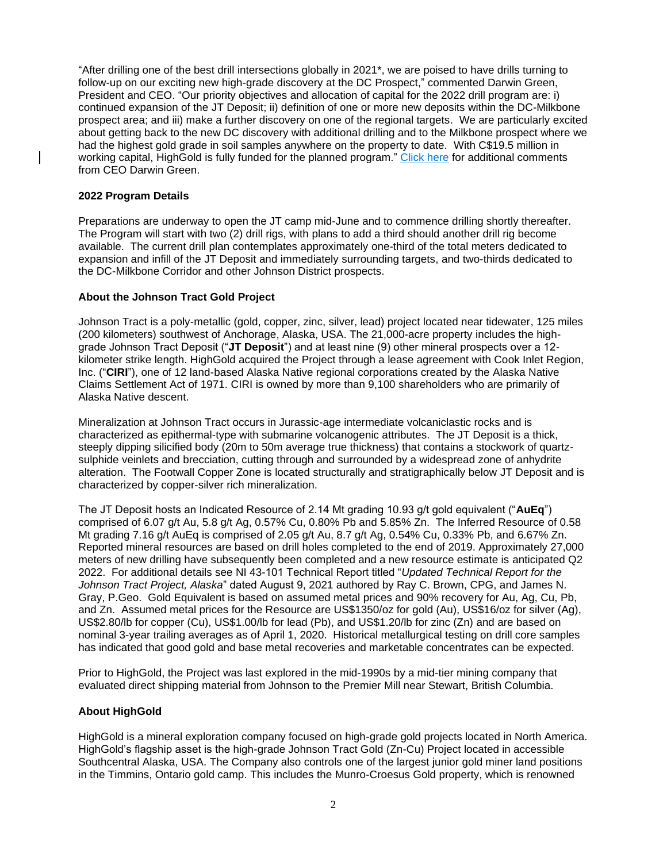"After drilling one of the best drill intersections globally in 2021\*, we are poised to have drills turning to follow-up on our exciting new high-grade discovery at the DC Prospect," commented Darwin Green, President and CEO. "Our priority objectives and allocation of capital for the 2022 drill program are: i) continued expansion of the JT Deposit; ii) definition of one or more new deposits within the DC-Milkbone prospect area; and iii) make a further discovery on one of the regional targets. We are particularly excited about getting back to the new DC discovery with additional drilling and to the Milkbone prospect where we had the highest gold grade in soil samples anywhere on the property to date. With C\$19.5 million in working capital, HighGold is fully funded for the planned program." [Click here](https://youtu.be/FlSYlE0Y8Q4) for additional comments from CEO Darwin Green.

## **2022 Program Details**

Preparations are underway to open the JT camp mid-June and to commence drilling shortly thereafter. The Program will start with two (2) drill rigs, with plans to add a third should another drill rig become available. The current drill plan contemplates approximately one-third of the total meters dedicated to expansion and infill of the JT Deposit and immediately surrounding targets, and two-thirds dedicated to the DC-Milkbone Corridor and other Johnson District prospects.

### **About the Johnson Tract Gold Project**

Johnson Tract is a poly-metallic (gold, copper, zinc, silver, lead) project located near tidewater, 125 miles (200 kilometers) southwest of Anchorage, Alaska, USA. The 21,000-acre property includes the highgrade Johnson Tract Deposit ("**JT Deposit**") and at least nine (9) other mineral prospects over a 12 kilometer strike length. HighGold acquired the Project through a lease agreement with Cook Inlet Region, Inc. ("**CIRI**"), one of 12 land-based Alaska Native regional corporations created by the Alaska Native Claims Settlement Act of 1971. CIRI is owned by more than 9,100 shareholders who are primarily of Alaska Native descent.

Mineralization at Johnson Tract occurs in Jurassic-age intermediate volcaniclastic rocks and is characterized as epithermal-type with submarine volcanogenic attributes. The JT Deposit is a thick, steeply dipping silicified body (20m to 50m average true thickness) that contains a stockwork of quartzsulphide veinlets and brecciation, cutting through and surrounded by a widespread zone of anhydrite alteration. The Footwall Copper Zone is located structurally and stratigraphically below JT Deposit and is characterized by copper-silver rich mineralization.

The JT Deposit hosts an Indicated Resource of 2.14 Mt grading 10.93 g/t gold equivalent ("**AuEq**") comprised of 6.07 g/t Au, 5.8 g/t Ag, 0.57% Cu, 0.80% Pb and 5.85% Zn. The Inferred Resource of 0.58 Mt grading 7.16 g/t AuEq is comprised of 2.05 g/t Au, 8.7 g/t Ag, 0.54% Cu, 0.33% Pb, and 6.67% Zn. Reported mineral resources are based on drill holes completed to the end of 2019. Approximately 27,000 meters of new drilling have subsequently been completed and a new resource estimate is anticipated Q2 2022. For additional details see NI 43-101 Technical Report titled "*Updated Technical Report for the Johnson Tract Project, Alaska*" dated August 9, 2021 authored by Ray C. Brown, CPG, and James N. Gray, P.Geo. Gold Equivalent is based on assumed metal prices and 90% recovery for Au, Ag, Cu, Pb, and Zn. Assumed metal prices for the Resource are US\$1350/oz for gold (Au), US\$16/oz for silver (Ag), US\$2.80/lb for copper (Cu), US\$1.00/lb for lead (Pb), and US\$1.20/lb for zinc (Zn) and are based on nominal 3-year trailing averages as of April 1, 2020. Historical metallurgical testing on drill core samples has indicated that good gold and base metal recoveries and marketable concentrates can be expected.

Prior to HighGold, the Project was last explored in the mid-1990s by a mid-tier mining company that evaluated direct shipping material from Johnson to the Premier Mill near Stewart, British Columbia.

### **About HighGold**

HighGold is a mineral exploration company focused on high-grade gold projects located in North America. HighGold's flagship asset is the high-grade Johnson Tract Gold (Zn-Cu) Project located in accessible Southcentral Alaska, USA. The Company also controls one of the largest junior gold miner land positions in the Timmins, Ontario gold camp. This includes the Munro-Croesus Gold property, which is renowned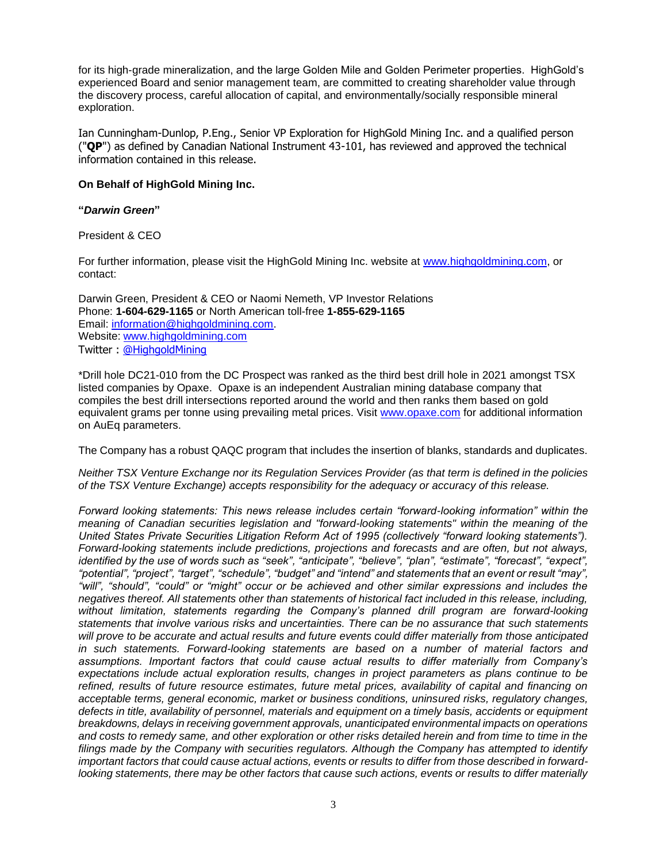for its high-grade mineralization, and the large Golden Mile and Golden Perimeter properties. HighGold's experienced Board and senior management team, are committed to creating shareholder value through the discovery process, careful allocation of capital, and environmentally/socially responsible mineral exploration.

Ian Cunningham-Dunlop, P.Eng., Senior VP Exploration for HighGold Mining Inc. and a qualified person ("**QP**") as defined by Canadian National Instrument 43-101, has reviewed and approved the technical information contained in this release.

#### **On Behalf of HighGold Mining Inc.**

#### **"***Darwin Green***"**

President & CEO

For further information, please visit the HighGold Mining Inc. website at [www.highgoldmining.com,](http://www.highgoldmining.com/) or contact:

Darwin Green, President & CEO or Naomi Nemeth, VP Investor Relations Phone: **1-604-629-1165** or North American toll-free **1-855-629-1165** Email: [information@highgoldmining.com.](mailto:information@highgoldmining.com) Website: [www.highgoldmining.com](http://www.highgoldmining.com/) Twitter : [@HighgoldMining](https://twitter.com/highgoldmining?lang=en)

\*Drill hole DC21-010 from the DC Prospect was ranked as the third best drill hole in 2021 amongst TSX listed companies by Opaxe. Opaxe is an independent Australian mining database company that compiles the best drill intersections reported around the world and then ranks them based on gold equivalent grams per tonne using prevailing metal prices. Visit [www.opaxe.com](http://www.opaxe.com/) for additional information on AuEq parameters.

The Company has a robust QAQC program that includes the insertion of blanks, standards and duplicates.

*Neither TSX Venture Exchange nor its Regulation Services Provider (as that term is defined in the policies of the TSX Venture Exchange) accepts responsibility for the adequacy or accuracy of this release.*

*Forward looking statements: This news release includes certain "forward-looking information" within the meaning of Canadian securities legislation and "forward-looking statements" within the meaning of the United States Private Securities Litigation Reform Act of 1995 (collectively "forward looking statements"). Forward-looking statements include predictions, projections and forecasts and are often, but not always, identified by the use of words such as "seek", "anticipate", "believe", "plan", "estimate", "forecast", "expect", "potential", "project", "target", "schedule", "budget" and "intend" and statements that an event or result "may", "will", "should", "could" or "might" occur or be achieved and other similar expressions and includes the negatives thereof. All statements other than statements of historical fact included in this release, including, without limitation, statements regarding the Company's planned drill program are forward-looking statements that involve various risks and uncertainties. There can be no assurance that such statements will prove to be accurate and actual results and future events could differ materially from those anticipated in such statements. Forward-looking statements are based on a number of material factors and assumptions. Important factors that could cause actual results to differ materially from Company's expectations include actual exploration results, changes in project parameters as plans continue to be refined, results of future resource estimates, future metal prices, availability of capital and financing on acceptable terms, general economic, market or business conditions, uninsured risks, regulatory changes, defects in title, availability of personnel, materials and equipment on a timely basis, accidents or equipment breakdowns, delays in receiving government approvals, unanticipated environmental impacts on operations and costs to remedy same, and other exploration or other risks detailed herein and from time to time in the filings made by the Company with securities regulators. Although the Company has attempted to identify important factors that could cause actual actions, events or results to differ from those described in forwardlooking statements, there may be other factors that cause such actions, events or results to differ materially*